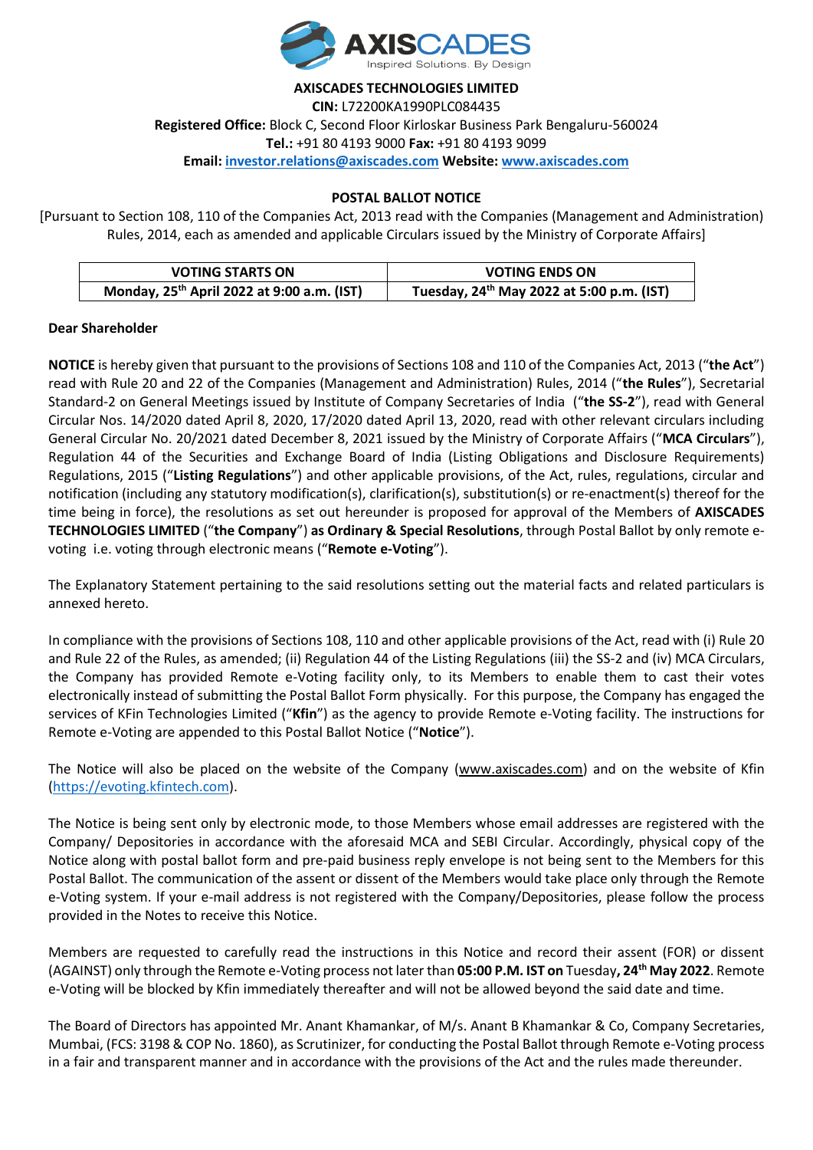

**AXISCADES TECHNOLOGIES LIMITED CIN:** L72200KA1990PLC084435 **Registered Office:** Block C, Second Floor Kirloskar Business Park Bengaluru-560024 **Tel.:** +91 80 4193 9000 **Fax:** +91 80 4193 9099 **Email: [investor.relations@axiscades.com](mailto:investor.relations@axiscades.com) Website[: www.axiscades.com](http://www.axiscades.com/)**

### **POSTAL BALLOT NOTICE**

[Pursuant to Section 108, 110 of the Companies Act, 2013 read with the Companies (Management and Administration) Rules, 2014, each as amended and applicable Circulars issued by the Ministry of Corporate Affairs]

| <b>VOTING STARTS ON</b>                                | <b>VOTING ENDS ON</b>                                 |  |
|--------------------------------------------------------|-------------------------------------------------------|--|
| Monday, 25 <sup>th</sup> April 2022 at 9:00 a.m. (IST) | Tuesday, 24 <sup>th</sup> May 2022 at 5:00 p.m. (IST) |  |

#### **Dear Shareholder**

**NOTICE** is hereby given that pursuant to the provisions of Sections 108 and 110 of the Companies Act, 2013 ("**the Act**") read with Rule 20 and 22 of the Companies (Management and Administration) Rules, 2014 ("**the Rules**"), Secretarial Standard-2 on General Meetings issued by Institute of Company Secretaries of India ("**the SS-2**"), read with General Circular Nos. 14/2020 dated April 8, 2020, 17/2020 dated April 13, 2020, read with other relevant circulars including General Circular No. 20/2021 dated December 8, 2021 issued by the Ministry of Corporate Affairs ("**MCA Circulars**"), Regulation 44 of the Securities and Exchange Board of India (Listing Obligations and Disclosure Requirements) Regulations, 2015 ("**Listing Regulations**") and other applicable provisions, of the Act, rules, regulations, circular and notification (including any statutory modification(s), clarification(s), substitution(s) or re-enactment(s) thereof for the time being in force), the resolutions as set out hereunder is proposed for approval of the Members of **AXISCADES TECHNOLOGIES LIMITED** ("**the Company**") **as Ordinary & Special Resolutions**, through Postal Ballot by only remote evoting i.e. voting through electronic means ("**Remote e-Voting**").

The Explanatory Statement pertaining to the said resolutions setting out the material facts and related particulars is annexed hereto.

In compliance with the provisions of Sections 108, 110 and other applicable provisions of the Act, read with (i) Rule 20 and Rule 22 of the Rules, as amended; (ii) Regulation 44 of the Listing Regulations (iii) the SS-2 and (iv) MCA Circulars, the Company has provided Remote e-Voting facility only, to its Members to enable them to cast their votes electronically instead of submitting the Postal Ballot Form physically. For this purpose, the Company has engaged the services of KFin Technologies Limited ("**Kfin**") as the agency to provide Remote e-Voting facility. The instructions for Remote e-Voting are appended to this Postal Ballot Notice ("**Notice**").

The Notice will also be placed on the website of the Company [\(www.axiscades.com\)](http://www.axiscades.com/) and on the website of Kfin [\(https://evoting.kfintech.com\)](https://evoting.kfintech.com/).

The Notice is being sent only by electronic mode, to those Members whose email addresses are registered with the Company/ Depositories in accordance with the aforesaid MCA and SEBI Circular. Accordingly, physical copy of the Notice along with postal ballot form and pre-paid business reply envelope is not being sent to the Members for this Postal Ballot. The communication of the assent or dissent of the Members would take place only through the Remote e-Voting system. If your e-mail address is not registered with the Company/Depositories, please follow the process provided in the Notes to receive this Notice.

Members are requested to carefully read the instructions in this Notice and record their assent (FOR) or dissent (AGAINST) only through the Remote e-Voting process not later than **05:00 P.M. IST on** Tuesday**, 24 th May 2022**. Remote e-Voting will be blocked by Kfin immediately thereafter and will not be allowed beyond the said date and time.

The Board of Directors has appointed Mr. Anant Khamankar, of M/s. Anant B Khamankar & Co, Company Secretaries, Mumbai, (FCS: 3198 & COP No. 1860), as Scrutinizer, for conducting the Postal Ballot through Remote e-Voting process in a fair and transparent manner and in accordance with the provisions of the Act and the rules made thereunder.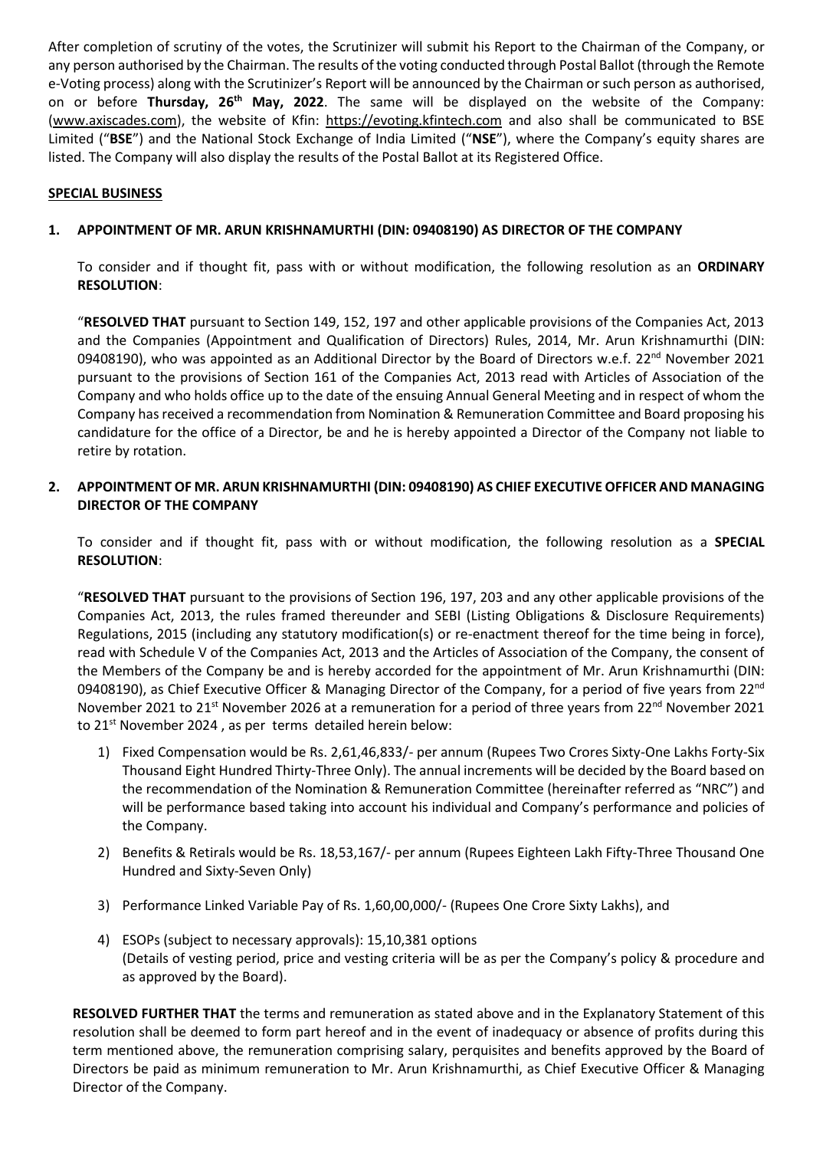After completion of scrutiny of the votes, the Scrutinizer will submit his Report to the Chairman of the Company, or any person authorised by the Chairman. The results of the voting conducted through Postal Ballot (through the Remote e-Voting process) along with the Scrutinizer's Report will be announced by the Chairman or such person as authorised, on or before Thursday, 26<sup>th</sup> May, 2022. The same will be displayed on the website of the Company: [\(www.axiscades.com\)](http://www.axiscades.com/), the website of Kfin: https://evoting.kfintech.com and also shall be communicated to BSE Limited ("**BSE**") and the National Stock Exchange of India Limited ("**NSE**"), where the Company's equity shares are listed. The Company will also display the results of the Postal Ballot at its Registered Office.

## **SPECIAL BUSINESS**

### **1. APPOINTMENT OF MR. ARUN KRISHNAMURTHI (DIN: 09408190) AS DIRECTOR OF THE COMPANY**

To consider and if thought fit, pass with or without modification, the following resolution as an **ORDINARY RESOLUTION**:

"**RESOLVED THAT** pursuant to Section 149, 152, 197 and other applicable provisions of the Companies Act, 2013 and the Companies (Appointment and Qualification of Directors) Rules, 2014, Mr. Arun Krishnamurthi (DIN: 09408190), who was appointed as an Additional Director by the Board of Directors w.e.f. 22<sup>nd</sup> November 2021 pursuant to the provisions of Section 161 of the Companies Act, 2013 read with Articles of Association of the Company and who holds office up to the date of the ensuing Annual General Meeting and in respect of whom the Company has received a recommendation from Nomination & Remuneration Committee and Board proposing his candidature for the office of a Director, be and he is hereby appointed a Director of the Company not liable to retire by rotation.

### **2. APPOINTMENT OF MR. ARUN KRISHNAMURTHI (DIN: 09408190) AS CHIEF EXECUTIVE OFFICER AND MANAGING DIRECTOR OF THE COMPANY**

To consider and if thought fit, pass with or without modification, the following resolution as a **SPECIAL RESOLUTION**:

"**RESOLVED THAT** pursuant to the provisions of Section 196, 197, 203 and any other applicable provisions of the Companies Act, 2013, the rules framed thereunder and SEBI (Listing Obligations & Disclosure Requirements) Regulations, 2015 (including any statutory modification(s) or re-enactment thereof for the time being in force), read with Schedule V of the Companies Act, 2013 and the Articles of Association of the Company, the consent of the Members of the Company be and is hereby accorded for the appointment of Mr. Arun Krishnamurthi (DIN: 09408190), as Chief Executive Officer & Managing Director of the Company, for a period of five years from 22<sup>nd</sup> November 2021 to 21<sup>st</sup> November 2026 at a remuneration for a period of three years from 22<sup>nd</sup> November 2021 to 21<sup>st</sup> November 2024, as per terms detailed herein below:

- 1) Fixed Compensation would be Rs. 2,61,46,833/- per annum (Rupees Two Crores Sixty-One Lakhs Forty-Six Thousand Eight Hundred Thirty-Three Only). The annual increments will be decided by the Board based on the recommendation of the Nomination & Remuneration Committee (hereinafter referred as "NRC") and will be performance based taking into account his individual and Company's performance and policies of the Company.
- 2) Benefits & Retirals would be Rs. 18,53,167/- per annum (Rupees Eighteen Lakh Fifty-Three Thousand One Hundred and Sixty-Seven Only)
- 3) Performance Linked Variable Pay of Rs. 1,60,00,000/- (Rupees One Crore Sixty Lakhs), and
- 4) ESOPs (subject to necessary approvals): 15,10,381 options (Details of vesting period, price and vesting criteria will be as per the Company's policy & procedure and as approved by the Board).

**RESOLVED FURTHER THAT** the terms and remuneration as stated above and in the Explanatory Statement of this resolution shall be deemed to form part hereof and in the event of inadequacy or absence of profits during this term mentioned above, the remuneration comprising salary, perquisites and benefits approved by the Board of Directors be paid as minimum remuneration to Mr. Arun Krishnamurthi, as Chief Executive Officer & Managing Director of the Company.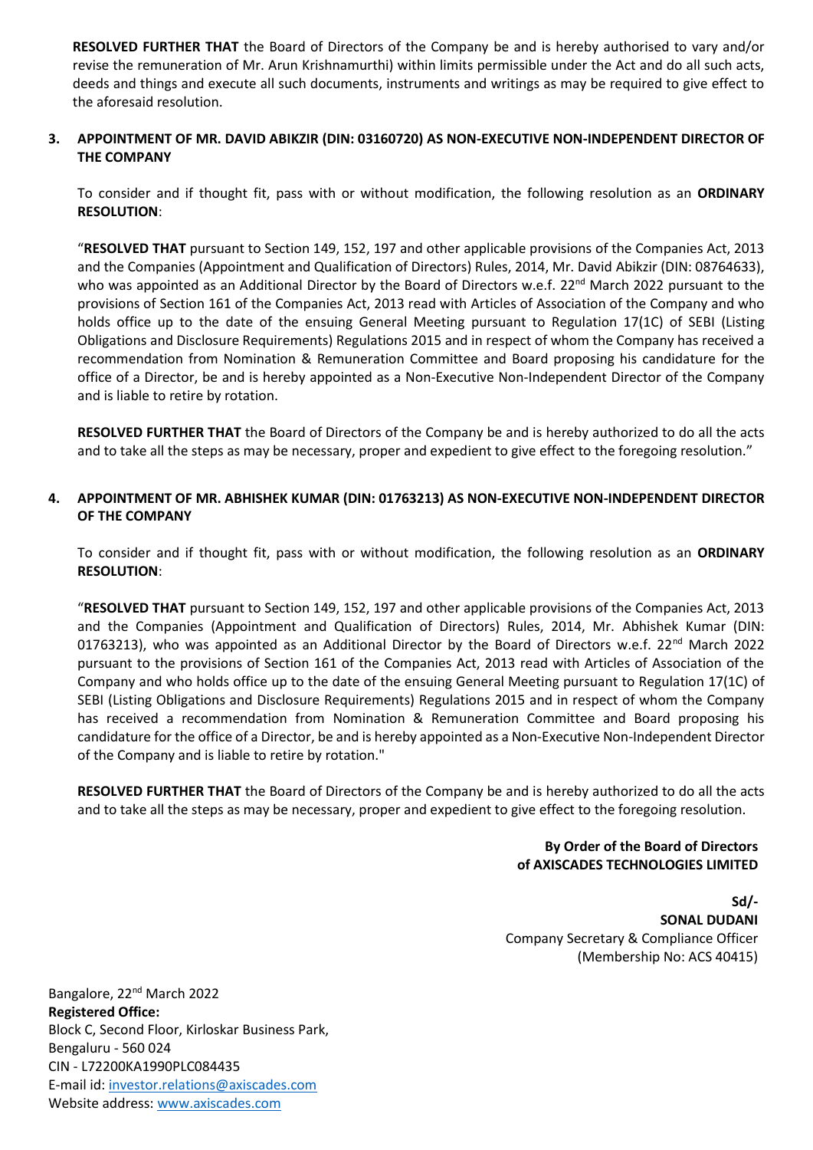**RESOLVED FURTHER THAT** the Board of Directors of the Company be and is hereby authorised to vary and/or revise the remuneration of Mr. Arun Krishnamurthi) within limits permissible under the Act and do all such acts, deeds and things and execute all such documents, instruments and writings as may be required to give effect to the aforesaid resolution.

## **3. APPOINTMENT OF MR. DAVID ABIKZIR (DIN: 03160720) AS NON-EXECUTIVE NON-INDEPENDENT DIRECTOR OF THE COMPANY**

To consider and if thought fit, pass with or without modification, the following resolution as an **ORDINARY RESOLUTION**:

"**RESOLVED THAT** pursuant to Section 149, 152, 197 and other applicable provisions of the Companies Act, 2013 and the Companies (Appointment and Qualification of Directors) Rules, 2014, Mr. David Abikzir (DIN: 08764633), who was appointed as an Additional Director by the Board of Directors w.e.f. 22<sup>nd</sup> March 2022 pursuant to the provisions of Section 161 of the Companies Act, 2013 read with Articles of Association of the Company and who holds office up to the date of the ensuing General Meeting pursuant to Regulation 17(1C) of SEBI (Listing Obligations and Disclosure Requirements) Regulations 2015 and in respect of whom the Company has received a recommendation from Nomination & Remuneration Committee and Board proposing his candidature for the office of a Director, be and is hereby appointed as a Non-Executive Non-Independent Director of the Company and is liable to retire by rotation.

**RESOLVED FURTHER THAT** the Board of Directors of the Company be and is hereby authorized to do all the acts and to take all the steps as may be necessary, proper and expedient to give effect to the foregoing resolution."

# **4. APPOINTMENT OF MR. ABHISHEK KUMAR (DIN: 01763213) AS NON-EXECUTIVE NON-INDEPENDENT DIRECTOR OF THE COMPANY**

To consider and if thought fit, pass with or without modification, the following resolution as an **ORDINARY RESOLUTION**:

"**RESOLVED THAT** pursuant to Section 149, 152, 197 and other applicable provisions of the Companies Act, 2013 and the Companies (Appointment and Qualification of Directors) Rules, 2014, Mr. Abhishek Kumar (DIN: 01763213), who was appointed as an Additional Director by the Board of Directors w.e.f. 22<sup>nd</sup> March 2022 pursuant to the provisions of Section 161 of the Companies Act, 2013 read with Articles of Association of the Company and who holds office up to the date of the ensuing General Meeting pursuant to Regulation 17(1C) of SEBI (Listing Obligations and Disclosure Requirements) Regulations 2015 and in respect of whom the Company has received a recommendation from Nomination & Remuneration Committee and Board proposing his candidature for the office of a Director, be and is hereby appointed as a Non-Executive Non-Independent Director of the Company and is liable to retire by rotation."

**RESOLVED FURTHER THAT** the Board of Directors of the Company be and is hereby authorized to do all the acts and to take all the steps as may be necessary, proper and expedient to give effect to the foregoing resolution.

### **By Order of the Board of Directors of AXISCADES TECHNOLOGIES LIMITED**

**Sd/- SONAL DUDANI** Company Secretary & Compliance Officer (Membership No: ACS 40415)

Bangalore, 22nd March 2022 **Registered Office:** Block C, Second Floor, Kirloskar Business Park, Bengaluru - 560 024 CIN - L72200KA1990PLC084435 E-mail id[: investor.relations@axiscades.com](mailto:investor.relations@axiscades.com) Website address: [www.axiscades.com](http://www.axiscades.com/)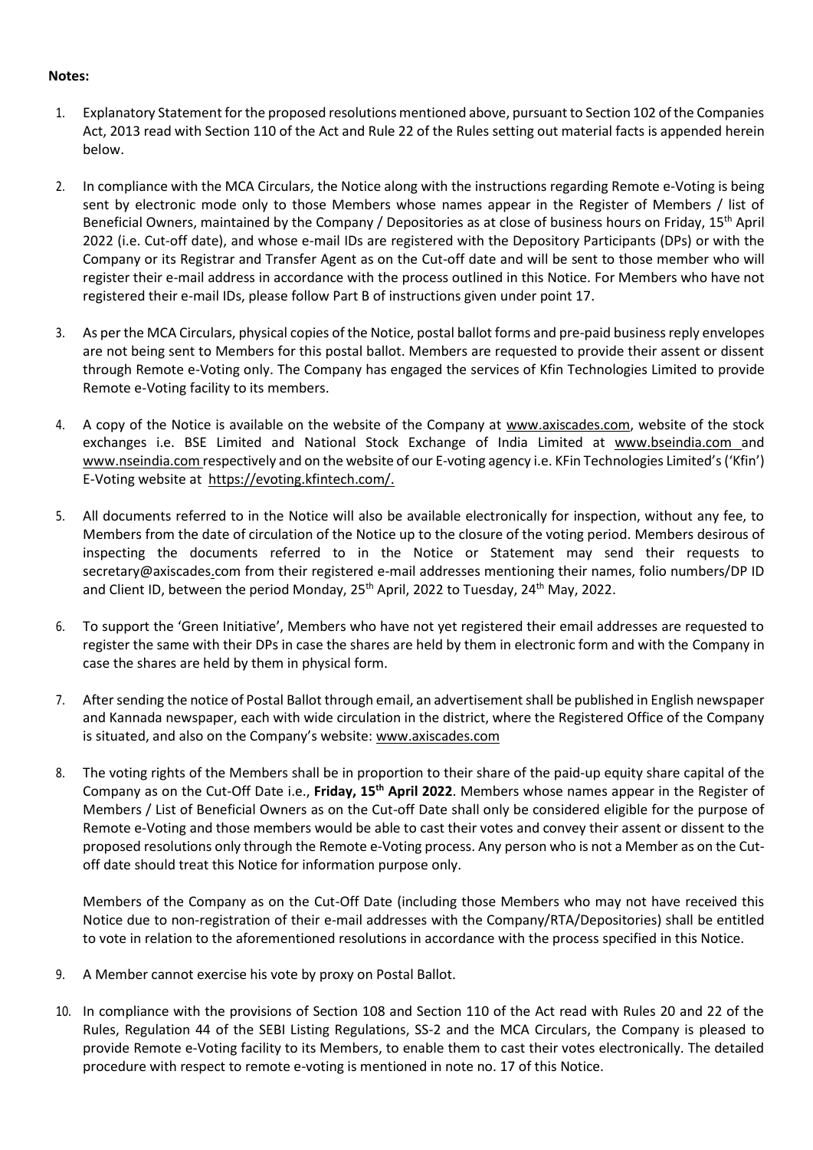### **Notes:**

- 1. Explanatory Statement for the proposed resolutions mentioned above, pursuant to Section 102 of the Companies Act, 2013 read with Section 110 of the Act and Rule 22 of the Rules setting out material facts is appended herein below.
- 2. In compliance with the MCA Circulars, the Notice along with the instructions regarding Remote e-Voting is being sent by electronic mode only to those Members whose names appear in the Register of Members / list of Beneficial Owners, maintained by the Company / Depositories as at close of business hours on Friday, 15th April 2022 (i.e. Cut-off date), and whose e-mail IDs are registered with the Depository Participants (DPs) or with the Company or its Registrar and Transfer Agent as on the Cut-off date and will be sent to those member who will register their e-mail address in accordance with the process outlined in this Notice. For Members who have not registered their e-mail IDs, please follow Part B of instructions given under point 17.
- 3. As per the MCA Circulars, physical copies of the Notice, postal ballot forms and pre-paid business reply envelopes are not being sent to Members for this postal ballot. Members are requested to provide their assent or dissent through Remote e-Voting only. The Company has engaged the services of Kfin Technologies Limited to provide Remote e-Voting facility to its members.
- 4. A copy of the Notice is available on the website of the Company at [www.axiscades.com,](http://www.axiscades.com/) website of the stock exchanges i.e. BSE Limited and National Stock Exchange of India Limited at [www.bseindia.com a](http://www.bseindia.com/)nd [www.nseindia.com r](http://www.nseindia.com/)espectively and on the website of our E-voting agency i.e. KFin Technologies Limited's('Kfin') E-Voting website at [https://evoting.kfintech.com/.](http://www.evoting.nsdl.com/)
- 5. All documents referred to in the Notice will also be available electronically for inspection, without any fee, to Members from the date of circulation of the Notice up to the closure of the voting period. Members desirous of inspecting the documents referred to in the Notice or Statement may send their requests to [secretary@](mailto:sonal.d@axiscades.in)axiscades.com from their registered e-mail addresses mentioning their names, folio numbers/DP ID and Client ID, between the period Monday, 25<sup>th</sup> April, 2022 to Tuesday, 24<sup>th</sup> May, 2022.
- 6. To support the 'Green Initiative', Members who have not yet registered their email addresses are requested to register the same with their DPs in case the shares are held by them in electronic form and with the Company in case the shares are held by them in physical form.
- 7. After sending the notice of Postal Ballot through email, an advertisement shall be published in English newspaper and Kannada newspaper, each with wide circulation in the district, where the Registered Office of the Company is situated, and also on the Company's website: [www.axiscades.com](http://www.axiscades.com/)
- 8. The voting rights of the Members shall be in proportion to their share of the paid-up equity share capital of the Company as on the Cut-Off Date i.e., **Friday, 15th April 2022**. Members whose names appear in the Register of Members / List of Beneficial Owners as on the Cut-off Date shall only be considered eligible for the purpose of Remote e-Voting and those members would be able to cast their votes and convey their assent or dissent to the proposed resolutions only through the Remote e-Voting process. Any person who is not a Member as on the Cutoff date should treat this Notice for information purpose only.

Members of the Company as on the Cut-Off Date (including those Members who may not have received this Notice due to non-registration of their e-mail addresses with the Company/RTA/Depositories) shall be entitled to vote in relation to the aforementioned resolutions in accordance with the process specified in this Notice.

- 9. A Member cannot exercise his vote by proxy on Postal Ballot.
- 10. In compliance with the provisions of Section 108 and Section 110 of the Act read with Rules 20 and 22 of the Rules, Regulation 44 of the SEBI Listing Regulations, SS-2 and the MCA Circulars, the Company is pleased to provide Remote e-Voting facility to its Members, to enable them to cast their votes electronically. The detailed procedure with respect to remote e-voting is mentioned in note no. 17 of this Notice.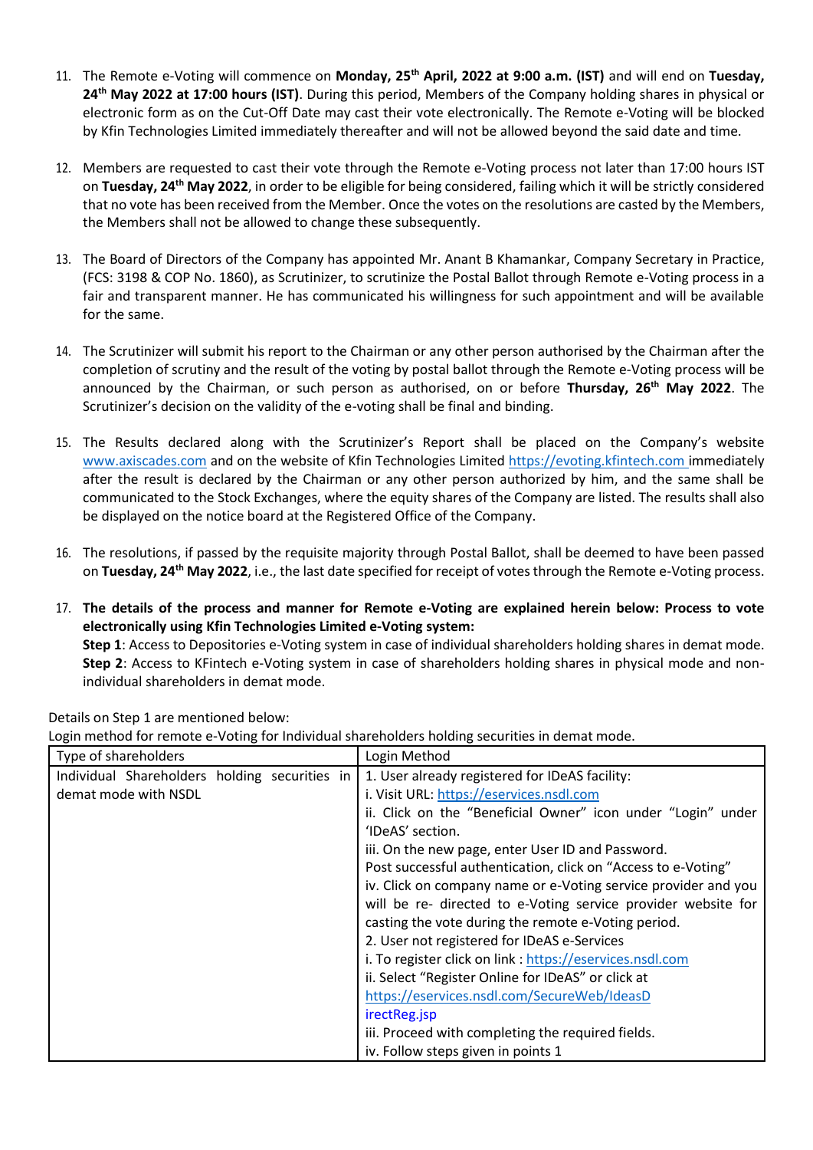- 11. The Remote e-Voting will commence on **Monday, 25 th April, 2022 at 9:00 a.m. (IST)** and will end on **Tuesday, 24th May 2022 at 17:00 hours (IST)**. During this period, Members of the Company holding shares in physical or electronic form as on the Cut-Off Date may cast their vote electronically. The Remote e-Voting will be blocked by Kfin Technologies Limited immediately thereafter and will not be allowed beyond the said date and time.
- 12. Members are requested to cast their vote through the Remote e-Voting process not later than 17:00 hours IST on Tuesday, 24<sup>th</sup> May 2022, in order to be eligible for being considered, failing which it will be strictly considered that no vote has been received from the Member. Once the votes on the resolutions are casted by the Members, the Members shall not be allowed to change these subsequently.
- 13. The Board of Directors of the Company has appointed Mr. Anant B Khamankar, Company Secretary in Practice, (FCS: 3198 & COP No. 1860), as Scrutinizer, to scrutinize the Postal Ballot through Remote e-Voting process in a fair and transparent manner. He has communicated his willingness for such appointment and will be available for the same.
- 14. The Scrutinizer will submit his report to the Chairman or any other person authorised by the Chairman after the completion of scrutiny and the result of the voting by postal ballot through the Remote e-Voting process will be announced by the Chairman, or such person as authorised, on or before **Thursday, 26 th May 2022**. The Scrutinizer's decision on the validity of the e-voting shall be final and binding.
- 15. The Results declared along with the Scrutinizer's Report shall be placed on the Company's website [www.axiscades.com](http://www.axiscades.com/) and on the website of Kfin Technologies Limited [https://evoting.kfintech.com](https://evoting.kfintech.com/) immediately after the result is declared by the Chairman or any other person authorized by him, and the same shall be communicated to the Stock Exchanges, where the equity shares of the Company are listed. The results shall also be displayed on the notice board at the Registered Office of the Company.
- 16. The resolutions, if passed by the requisite majority through Postal Ballot, shall be deemed to have been passed on Tuesday, 24<sup>th</sup> May 2022, i.e., the last date specified for receipt of votes through the Remote e-Voting process.
- 17. **The details of the process and manner for Remote e-Voting are explained herein below: Process to vote electronically using Kfin Technologies Limited e-Voting system: Step 1**: Access to Depositories e-Voting system in case of individual shareholders holding shares in demat mode.

**Step 2**: Access to KFintech e-Voting system in case of shareholders holding shares in physical mode and nonindividual shareholders in demat mode.

| Type of shareholders                                                  | Login Method                                                                                                                                                                                                                                                                                                                                                                                                                                                                                                                                                                                                                                                                                                                    |
|-----------------------------------------------------------------------|---------------------------------------------------------------------------------------------------------------------------------------------------------------------------------------------------------------------------------------------------------------------------------------------------------------------------------------------------------------------------------------------------------------------------------------------------------------------------------------------------------------------------------------------------------------------------------------------------------------------------------------------------------------------------------------------------------------------------------|
| Individual Shareholders holding securities in<br>demat mode with NSDL | 1. User already registered for IDeAS facility:<br>i. Visit URL: https://eservices.nsdl.com<br>ii. Click on the "Beneficial Owner" icon under "Login" under<br>'IDeAS' section.<br>iii. On the new page, enter User ID and Password.<br>Post successful authentication, click on "Access to e-Voting"<br>iv. Click on company name or e-Voting service provider and you<br>will be re- directed to e-Voting service provider website for<br>casting the vote during the remote e-Voting period.<br>2. User not registered for IDeAS e-Services<br>i. To register click on link : https://eservices.nsdl.com<br>ii. Select "Register Online for IDeAS" or click at<br>https://eservices.nsdl.com/SecureWeb/IdeasD<br>irectReg.jsp |
|                                                                       | iii. Proceed with completing the required fields.<br>iv. Follow steps given in points 1                                                                                                                                                                                                                                                                                                                                                                                                                                                                                                                                                                                                                                         |

Details on Step 1 are mentioned below:

Login method for remote e-Voting for Individual shareholders holding securities in demat mode.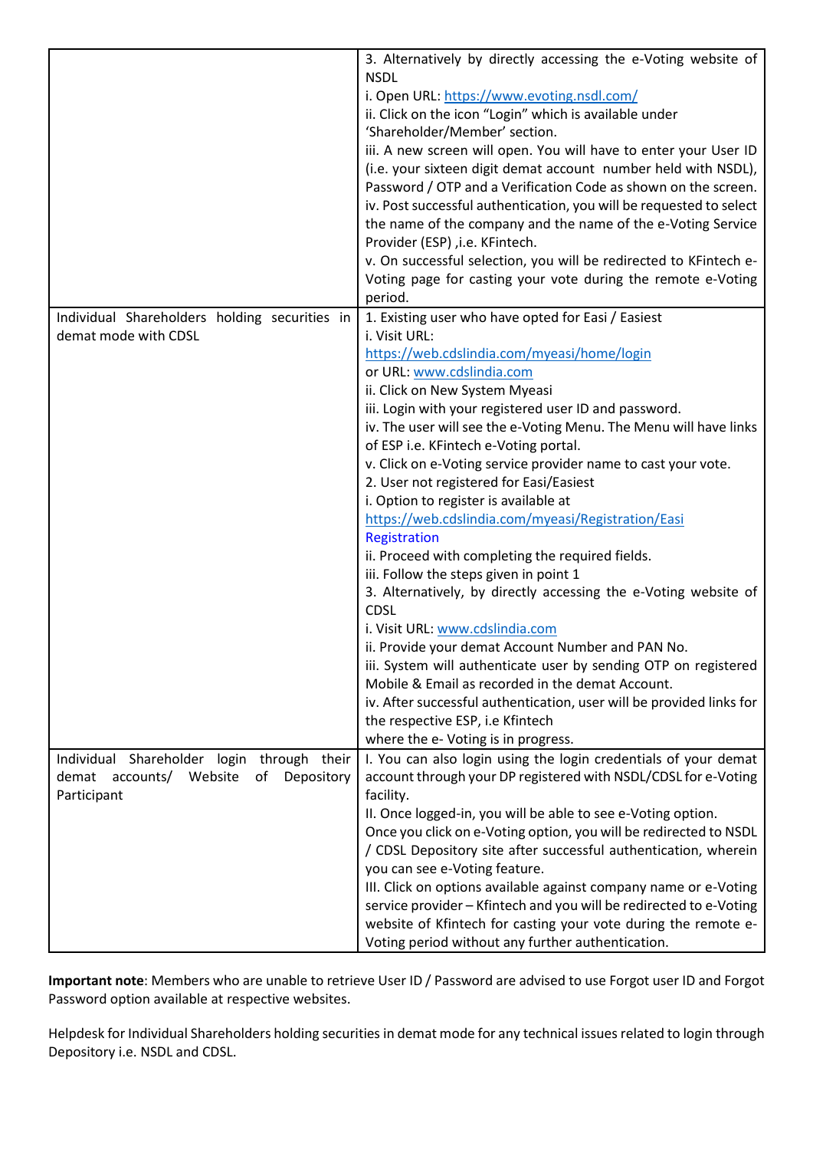|                                                | 3. Alternatively by directly accessing the e-Voting website of                                    |
|------------------------------------------------|---------------------------------------------------------------------------------------------------|
|                                                | <b>NSDL</b>                                                                                       |
|                                                | i. Open URL: https://www.evoting.nsdl.com/                                                        |
|                                                | ii. Click on the icon "Login" which is available under                                            |
|                                                | 'Shareholder/Member' section.                                                                     |
|                                                | iii. A new screen will open. You will have to enter your User ID                                  |
|                                                | (i.e. your sixteen digit demat account number held with NSDL),                                    |
|                                                | Password / OTP and a Verification Code as shown on the screen.                                    |
|                                                | iv. Post successful authentication, you will be requested to select                               |
|                                                | the name of the company and the name of the e-Voting Service                                      |
|                                                | Provider (ESP) , i.e. KFintech.                                                                   |
|                                                | v. On successful selection, you will be redirected to KFintech e-                                 |
|                                                | Voting page for casting your vote during the remote e-Voting                                      |
|                                                | period.                                                                                           |
| Individual Shareholders holding securities in  | 1. Existing user who have opted for Easi / Easiest                                                |
| demat mode with CDSL                           | i. Visit URL:                                                                                     |
|                                                | https://web.cdslindia.com/myeasi/home/login                                                       |
|                                                | or URL: www.cdslindia.com                                                                         |
|                                                | ii. Click on New System Myeasi                                                                    |
|                                                | iii. Login with your registered user ID and password.                                             |
|                                                | iv. The user will see the e-Voting Menu. The Menu will have links                                 |
|                                                | of ESP i.e. KFintech e-Voting portal.                                                             |
|                                                | v. Click on e-Voting service provider name to cast your vote.                                     |
|                                                | 2. User not registered for Easi/Easiest                                                           |
|                                                | i. Option to register is available at                                                             |
|                                                | https://web.cdslindia.com/myeasi/Registration/Easi                                                |
|                                                | Registration                                                                                      |
|                                                | ii. Proceed with completing the required fields.<br>iii. Follow the steps given in point 1        |
|                                                | 3. Alternatively, by directly accessing the e-Voting website of                                   |
|                                                | <b>CDSL</b>                                                                                       |
|                                                | i. Visit URL: www.cdslindia.com                                                                   |
|                                                | ii. Provide your demat Account Number and PAN No.                                                 |
|                                                | iii. System will authenticate user by sending OTP on registered                                   |
|                                                | Mobile & Email as recorded in the demat Account.                                                  |
|                                                | iv. After successful authentication, user will be provided links for                              |
|                                                | the respective ESP, i.e Kfintech                                                                  |
|                                                | where the e- Voting is in progress.                                                               |
| Individual Shareholder login through their     | I. You can also login using the login credentials of your demat                                   |
| demat<br>accounts/ Website<br>Depository<br>of | account through your DP registered with NSDL/CDSL for e-Voting                                    |
| Participant                                    | facility.                                                                                         |
|                                                | II. Once logged-in, you will be able to see e-Voting option.                                      |
|                                                | Once you click on e-Voting option, you will be redirected to NSDL                                 |
|                                                | / CDSL Depository site after successful authentication, wherein                                   |
|                                                | you can see e-Voting feature.<br>III. Click on options available against company name or e-Voting |
|                                                | service provider - Kfintech and you will be redirected to e-Voting                                |
|                                                | website of Kfintech for casting your vote during the remote e-                                    |
|                                                | Voting period without any further authentication.                                                 |
|                                                |                                                                                                   |

**Important note**: Members who are unable to retrieve User ID / Password are advised to use Forgot user ID and Forgot Password option available at respective websites.

Helpdesk for Individual Shareholders holding securities in demat mode for any technical issues related to login through Depository i.e. NSDL and CDSL.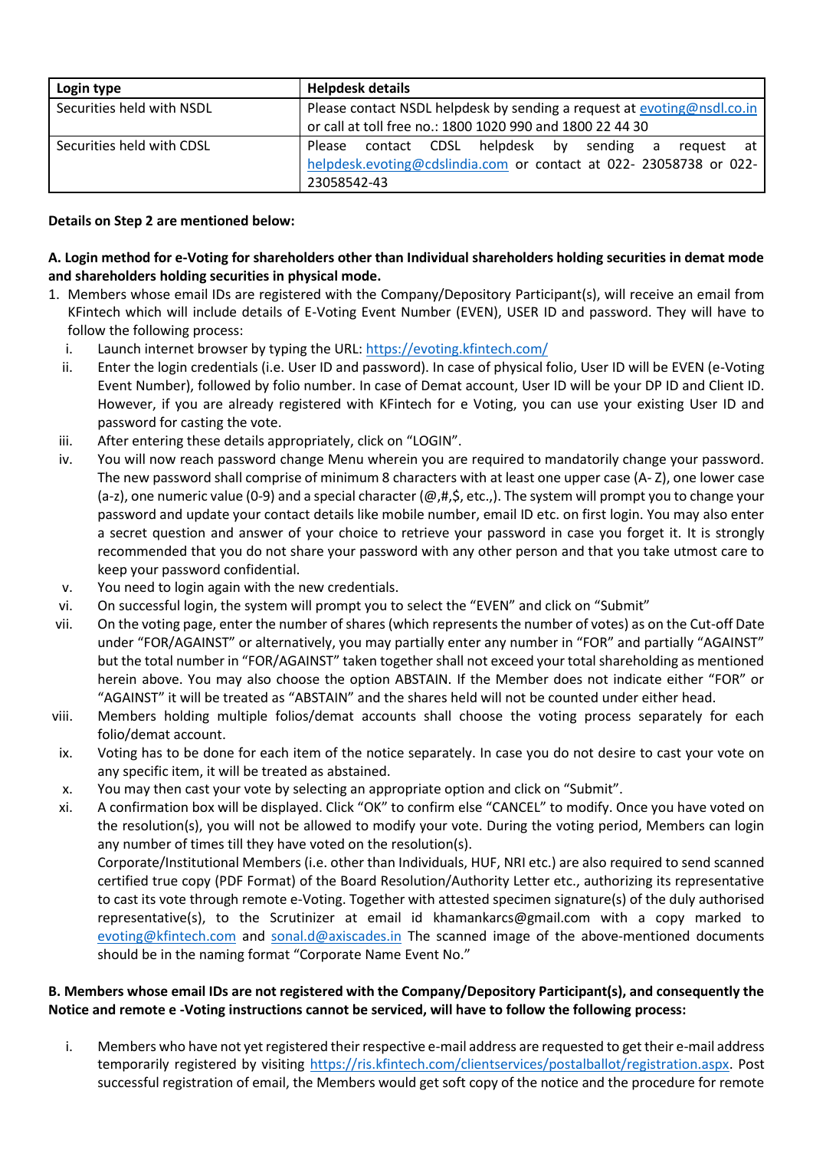| Login type                | <b>Helpdesk details</b>                                                                                                                        |  |  |
|---------------------------|------------------------------------------------------------------------------------------------------------------------------------------------|--|--|
| Securities held with NSDL | Please contact NSDL helpdesk by sending a request at evoting@nsdl.co.in<br>or call at toll free no.: 1800 1020 990 and 1800 22 44 30           |  |  |
| Securities held with CDSL | Please contact CDSL helpdesk by sending a<br>request at l<br>helpdesk.evoting@cdslindia.com or contact at 022- 23058738 or 022-<br>23058542-43 |  |  |

## **Details on Step 2 are mentioned below:**

# **A. Login method for e-Voting for shareholders other than Individual shareholders holding securities in demat mode and shareholders holding securities in physical mode.**

- 1. Members whose email IDs are registered with the Company/Depository Participant(s), will receive an email from KFintech which will include details of E-Voting Event Number (EVEN), USER ID and password. They will have to follow the following process:
	- i. Launch internet browser by typing the URL:<https://evoting.kfintech.com/>
	- ii. Enter the login credentials (i.e. User ID and password). In case of physical folio, User ID will be EVEN (e-Voting Event Number), followed by folio number. In case of Demat account, User ID will be your DP ID and Client ID. However, if you are already registered with KFintech for e Voting, you can use your existing User ID and password for casting the vote.
	- iii. After entering these details appropriately, click on "LOGIN".
	- iv. You will now reach password change Menu wherein you are required to mandatorily change your password. The new password shall comprise of minimum 8 characters with at least one upper case (A- Z), one lower case (a-z), one numeric value (0-9) and a special character ( $@, #, \$$ , etc.,). The system will prompt you to change your password and update your contact details like mobile number, email ID etc. on first login. You may also enter a secret question and answer of your choice to retrieve your password in case you forget it. It is strongly recommended that you do not share your password with any other person and that you take utmost care to keep your password confidential.
	- v. You need to login again with the new credentials.
	- vi. On successful login, the system will prompt you to select the "EVEN" and click on "Submit"
- vii. On the voting page, enter the number of shares (which represents the number of votes) as on the Cut-off Date under "FOR/AGAINST" or alternatively, you may partially enter any number in "FOR" and partially "AGAINST" but the total number in "FOR/AGAINST" taken together shall not exceed your total shareholding as mentioned herein above. You may also choose the option ABSTAIN. If the Member does not indicate either "FOR" or "AGAINST" it will be treated as "ABSTAIN" and the shares held will not be counted under either head.
- viii. Members holding multiple folios/demat accounts shall choose the voting process separately for each folio/demat account.
- ix. Voting has to be done for each item of the notice separately. In case you do not desire to cast your vote on any specific item, it will be treated as abstained.
- x. You may then cast your vote by selecting an appropriate option and click on "Submit".
- xi. A confirmation box will be displayed. Click "OK" to confirm else "CANCEL" to modify. Once you have voted on the resolution(s), you will not be allowed to modify your vote. During the voting period, Members can login any number of times till they have voted on the resolution(s). Corporate/Institutional Members (i.e. other than Individuals, HUF, NRI etc.) are also required to send scanned certified true copy (PDF Format) of the Board Resolution/Authority Letter etc., authorizing its representative to cast its vote through remote e-Voting. Together with attested specimen signature(s) of the duly authorised representative(s), to the Scrutinizer at email id khamankarcs@gmail.com with a copy marked to [evoting@kfintech.com](mailto:evoting@kfintech.com) and [sonal.d@axiscades.in](mailto:sonal.d@axiscades.in) The scanned image of the above-mentioned documents should be in the naming format "Corporate Name Event No."

# **B. Members whose email IDs are not registered with the Company/Depository Participant(s), and consequently the Notice and remote e -Voting instructions cannot be serviced, will have to follow the following process:**

i. Members who have not yet registered their respective e-mail address are requested to get their e-mail address temporarily registered by visiting [https://ris.kfintech.com/clientservices/postalballot/registration.aspx.](https://ris.kfintech.com/clientservices/postalballot/registration.aspx) Post successful registration of email, the Members would get soft copy of the notice and the procedure for remote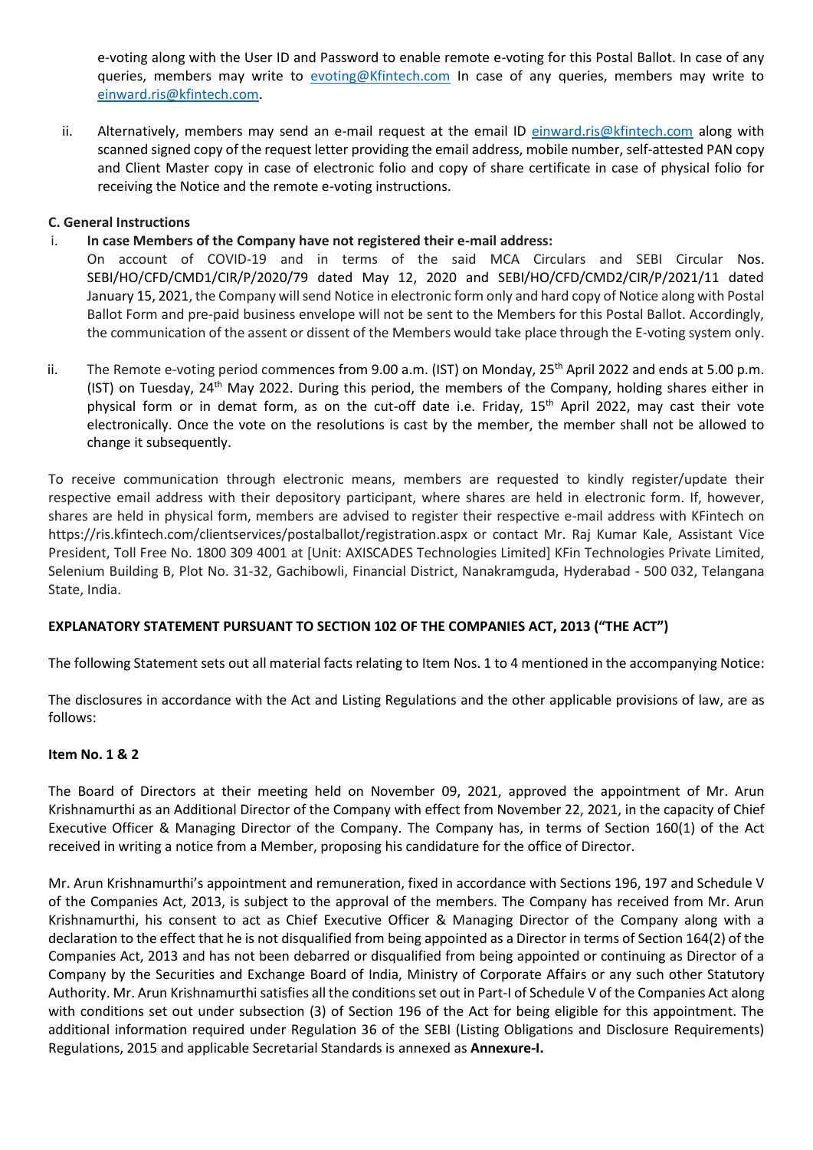e-voting along with the User ID and Password to enable remote e-voting for this Postal Ballot. In case of any queries, members may write to [evoting@Kfintech.com](mailto:evoting@Kfintech.com) In case of any queries, members may write to [einward.ris@kfintech.com.](mailto:einward.ris@kfintech.com)

ii. Alternatively, members may send an e-mail request at the email ID [einward.ris@kfintech.com](mailto:einward.ris@kfintech.com) along with scanned signed copy of the request letter providing the email address, mobile number, self-attested PAN copy and Client Master copy in case of electronic folio and copy of share certificate in case of physical folio for receiving the Notice and the remote e-voting instructions.

## **C. General Instructions**

### i. **In case Members of the Company have not registered their e-mail address:**

On account of COVID-19 and in terms of the said MCA Circulars and SEBI Circular Nos. SEBI/HO/CFD/CMD1/CIR/P/2020/79 dated May 12, 2020 and SEBI/HO/CFD/CMD2/CIR/P/2021/11 dated January 15, 2021, the Company will send Notice in electronic form only and hard copy of Notice along with Postal Ballot Form and pre-paid business envelope will not be sent to the Members for this Postal Ballot. Accordingly, the communication of the assent or dissent of the Members would take place through the E-voting system only.

ii. The Remote e-voting period commences from 9.00 a.m. (IST) on Monday, 25<sup>th</sup> April 2022 and ends at 5.00 p.m. (IST) on Tuesday, 24<sup>th</sup> May 2022. During this period, the members of the Company, holding shares either in physical form or in demat form, as on the cut-off date i.e. Friday,  $15<sup>th</sup>$  April 2022, may cast their vote electronically. Once the vote on the resolutions is cast by the member, the member shall not be allowed to change it subsequently.

To receive communication through electronic means, members are requested to kindly register/update their respective email address with their depository participant, where shares are held in electronic form. If, however, shares are held in physical form, members are advised to register their respective e-mail address with KFintech on <https://ris.kfintech.com/clientservices/postalballot/registration.aspx> or contact Mr. Raj Kumar Kale, Assistant Vice President, Toll Free No. 1800 309 4001 at [Unit: AXISCADES Technologies Limited] KFin Technologies Private Limited, Selenium Building B, Plot No. 31-32, Gachibowli, Financial District, Nanakramguda, Hyderabad - 500 032, Telangana State, India.

# **EXPLANATORY STATEMENT PURSUANT TO SECTION 102 OF THE COMPANIES ACT, 2013 ("THE ACT")**

The following Statement sets out all material facts relating to Item Nos. 1 to 4 mentioned in the accompanying Notice:

The disclosures in accordance with the Act and Listing Regulations and the other applicable provisions of law, are as follows:

### **Item No. 1 & 2**

The Board of Directors at their meeting held on November 09, 2021, approved the appointment of Mr. Arun Krishnamurthi as an Additional Director of the Company with effect from November 22, 2021, in the capacity of Chief Executive Officer & Managing Director of the Company. The Company has, in terms of Section 160(1) of the Act received in writing a notice from a Member, proposing his candidature for the office of Director.

Mr. Arun Krishnamurthi's appointment and remuneration, fixed in accordance with Sections 196, 197 and Schedule V of the Companies Act, 2013, is subject to the approval of the members. The Company has received from Mr. Arun Krishnamurthi, his consent to act as Chief Executive Officer & Managing Director of the Company along with a declaration to the effect that he is not disqualified from being appointed as a Director in terms of Section 164(2) of the Companies Act, 2013 and has not been debarred or disqualified from being appointed or continuing as Director of a Company by the Securities and Exchange Board of India, Ministry of Corporate Affairs or any such other Statutory Authority. Mr. Arun Krishnamurthisatisfies all the conditions set out in Part-I of Schedule V of the Companies Act along with conditions set out under subsection (3) of Section 196 of the Act for being eligible for this appointment. The additional information required under Regulation 36 of the SEBI (Listing Obligations and Disclosure Requirements) Regulations, 2015 and applicable Secretarial Standards is annexed as **Annexure-I.**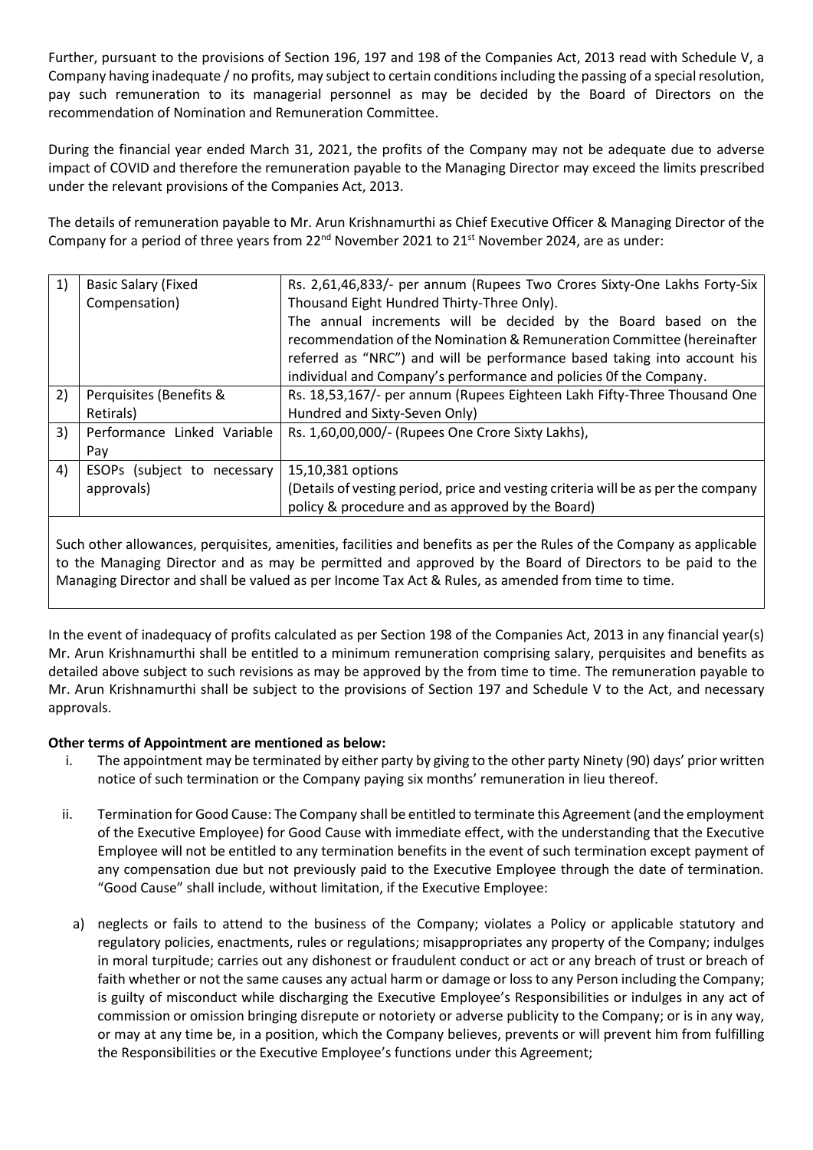Further, pursuant to the provisions of Section 196, 197 and 198 of the Companies Act, 2013 read with Schedule V, a Company having inadequate / no profits, may subject to certain conditions including the passing of a special resolution, pay such remuneration to its managerial personnel as may be decided by the Board of Directors on the recommendation of Nomination and Remuneration Committee.

During the financial year ended March 31, 2021, the profits of the Company may not be adequate due to adverse impact of COVID and therefore the remuneration payable to the Managing Director may exceed the limits prescribed under the relevant provisions of the Companies Act, 2013.

The details of remuneration payable to Mr. Arun Krishnamurthi as Chief Executive Officer & Managing Director of the Company for a period of three years from  $22^{nd}$  November 2021 to  $21^{st}$  November 2024, are as under:

| 1) | <b>Basic Salary (Fixed</b>  | Rs. 2,61,46,833/- per annum (Rupees Two Crores Sixty-One Lakhs Forty-Six                                                                                                                                                                                                                   |
|----|-----------------------------|--------------------------------------------------------------------------------------------------------------------------------------------------------------------------------------------------------------------------------------------------------------------------------------------|
|    | Compensation)               | Thousand Eight Hundred Thirty-Three Only).                                                                                                                                                                                                                                                 |
|    |                             | The annual increments will be decided by the Board based on the<br>recommendation of the Nomination & Remuneration Committee (hereinafter<br>referred as "NRC") and will be performance based taking into account his<br>individual and Company's performance and policies Of the Company. |
| 2) | Perquisites (Benefits &     | Rs. 18,53,167/- per annum (Rupees Eighteen Lakh Fifty-Three Thousand One                                                                                                                                                                                                                   |
|    | Retirals)                   | Hundred and Sixty-Seven Only)                                                                                                                                                                                                                                                              |
| 3) | Performance Linked Variable | Rs. 1,60,00,000/- (Rupees One Crore Sixty Lakhs),                                                                                                                                                                                                                                          |
|    | Pay                         |                                                                                                                                                                                                                                                                                            |
| 4) | ESOPs (subject to necessary | 15,10,381 options                                                                                                                                                                                                                                                                          |
|    | approvals)                  | (Details of vesting period, price and vesting criteria will be as per the company                                                                                                                                                                                                          |
|    |                             | policy & procedure and as approved by the Board)                                                                                                                                                                                                                                           |

Such other allowances, perquisites, amenities, facilities and benefits as per the Rules of the Company as applicable to the Managing Director and as may be permitted and approved by the Board of Directors to be paid to the Managing Director and shall be valued as per Income Tax Act & Rules, as amended from time to time.

In the event of inadequacy of profits calculated as per Section 198 of the Companies Act, 2013 in any financial year(s) Mr. Arun Krishnamurthi shall be entitled to a minimum remuneration comprising salary, perquisites and benefits as detailed above subject to such revisions as may be approved by the from time to time. The remuneration payable to Mr. Arun Krishnamurthi shall be subject to the provisions of Section 197 and Schedule V to the Act, and necessary approvals.

# **Other terms of Appointment are mentioned as below:**

- i. The appointment may be terminated by either party by giving to the other party Ninety (90) days' prior written notice of such termination or the Company paying six months' remuneration in lieu thereof.
- ii. Termination for Good Cause: The Company shall be entitled to terminate this Agreement (and the employment of the Executive Employee) for Good Cause with immediate effect, with the understanding that the Executive Employee will not be entitled to any termination benefits in the event of such termination except payment of any compensation due but not previously paid to the Executive Employee through the date of termination. "Good Cause" shall include, without limitation, if the Executive Employee:
	- a) neglects or fails to attend to the business of the Company; violates a Policy or applicable statutory and regulatory policies, enactments, rules or regulations; misappropriates any property of the Company; indulges in moral turpitude; carries out any dishonest or fraudulent conduct or act or any breach of trust or breach of faith whether or not the same causes any actual harm or damage or loss to any Person including the Company; is guilty of misconduct while discharging the Executive Employee's Responsibilities or indulges in any act of commission or omission bringing disrepute or notoriety or adverse publicity to the Company; or is in any way, or may at any time be, in a position, which the Company believes, prevents or will prevent him from fulfilling the Responsibilities or the Executive Employee's functions under this Agreement;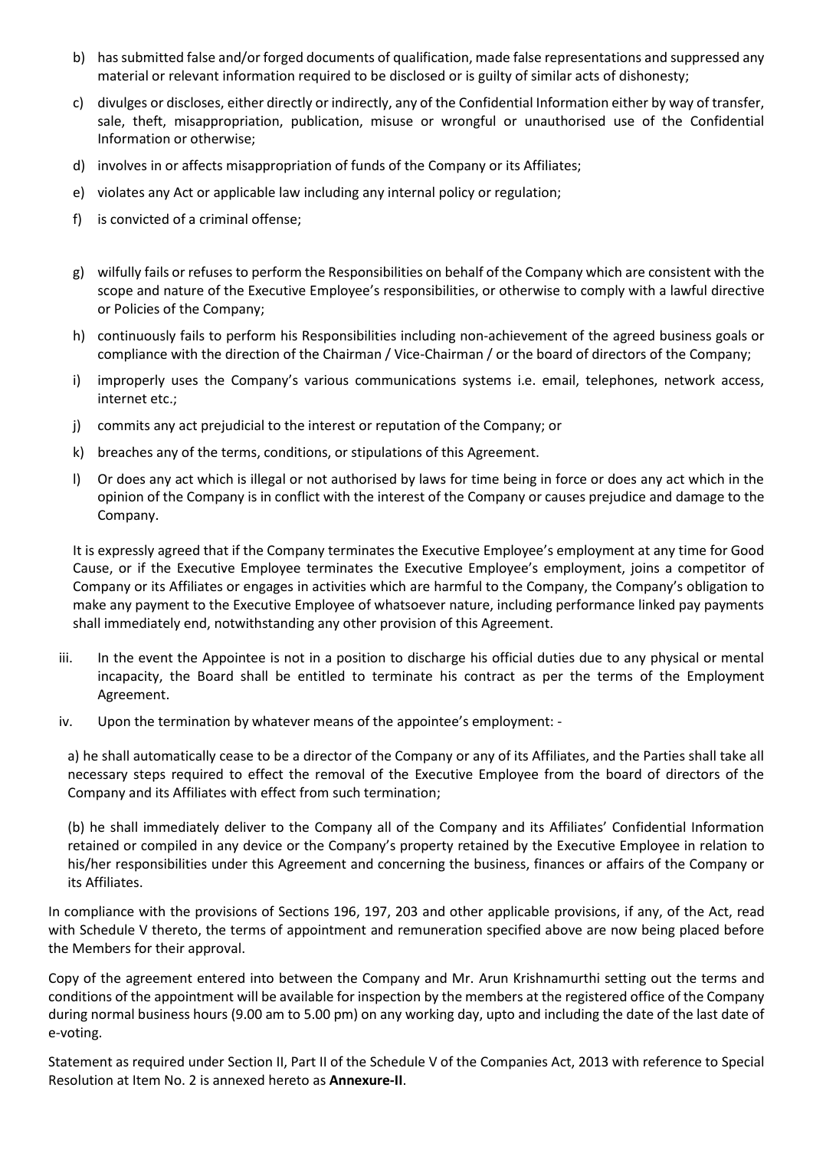- b) has submitted false and/or forged documents of qualification, made false representations and suppressed any material or relevant information required to be disclosed or is guilty of similar acts of dishonesty;
- c) divulges or discloses, either directly or indirectly, any of the Confidential Information either by way of transfer, sale, theft, misappropriation, publication, misuse or wrongful or unauthorised use of the Confidential Information or otherwise;
- d) involves in or affects misappropriation of funds of the Company or its Affiliates;
- e) violates any Act or applicable law including any internal policy or regulation;
- f) is convicted of a criminal offense;
- g) wilfully fails or refuses to perform the Responsibilities on behalf of the Company which are consistent with the scope and nature of the Executive Employee's responsibilities, or otherwise to comply with a lawful directive or Policies of the Company;
- h) continuously fails to perform his Responsibilities including non-achievement of the agreed business goals or compliance with the direction of the Chairman / Vice-Chairman / or the board of directors of the Company;
- i) improperly uses the Company's various communications systems i.e. email, telephones, network access, internet etc.;
- j) commits any act prejudicial to the interest or reputation of the Company; or
- k) breaches any of the terms, conditions, or stipulations of this Agreement.
- l) Or does any act which is illegal or not authorised by laws for time being in force or does any act which in the opinion of the Company is in conflict with the interest of the Company or causes prejudice and damage to the Company.

It is expressly agreed that if the Company terminates the Executive Employee's employment at any time for Good Cause, or if the Executive Employee terminates the Executive Employee's employment, joins a competitor of Company or its Affiliates or engages in activities which are harmful to the Company, the Company's obligation to make any payment to the Executive Employee of whatsoever nature, including performance linked pay payments shall immediately end, notwithstanding any other provision of this Agreement.

- iii. In the event the Appointee is not in a position to discharge his official duties due to any physical or mental incapacity, the Board shall be entitled to terminate his contract as per the terms of the Employment Agreement.
- iv. Upon the termination by whatever means of the appointee's employment: -

a) he shall automatically cease to be a director of the Company or any of its Affiliates, and the Parties shall take all necessary steps required to effect the removal of the Executive Employee from the board of directors of the Company and its Affiliates with effect from such termination;

(b) he shall immediately deliver to the Company all of the Company and its Affiliates' Confidential Information retained or compiled in any device or the Company's property retained by the Executive Employee in relation to his/her responsibilities under this Agreement and concerning the business, finances or affairs of the Company or its Affiliates.

In compliance with the provisions of Sections 196, 197, 203 and other applicable provisions, if any, of the Act, read with Schedule V thereto, the terms of appointment and remuneration specified above are now being placed before the Members for their approval.

Copy of the agreement entered into between the Company and Mr. Arun Krishnamurthi setting out the terms and conditions of the appointment will be available for inspection by the members at the registered office of the Company during normal business hours (9.00 am to 5.00 pm) on any working day, upto and including the date of the last date of e-voting.

Statement as required under Section II, Part II of the Schedule V of the Companies Act, 2013 with reference to Special Resolution at Item No. 2 is annexed hereto as **Annexure-II**.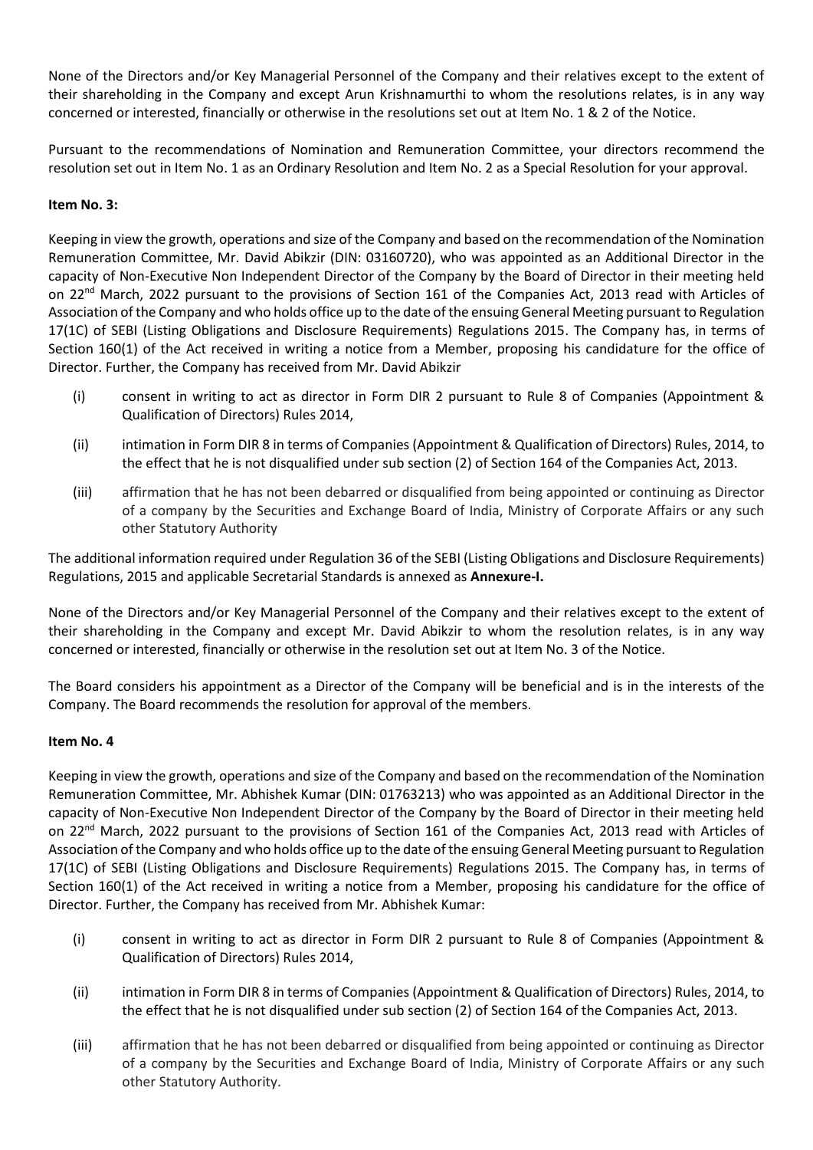None of the Directors and/or Key Managerial Personnel of the Company and their relatives except to the extent of their shareholding in the Company and except Arun Krishnamurthi to whom the resolutions relates, is in any way concerned or interested, financially or otherwise in the resolutions set out at Item No. 1 & 2 of the Notice.

Pursuant to the recommendations of Nomination and Remuneration Committee, your directors recommend the resolution set out in Item No. 1 as an Ordinary Resolution and Item No. 2 as a Special Resolution for your approval.

# **Item No. 3:**

Keeping in view the growth, operations and size of the Company and based on the recommendation of the Nomination Remuneration Committee, Mr. David Abikzir (DIN: 03160720), who was appointed as an Additional Director in the capacity of Non-Executive Non Independent Director of the Company by the Board of Director in their meeting held on 22<sup>nd</sup> March, 2022 pursuant to the provisions of Section 161 of the Companies Act, 2013 read with Articles of Association of the Company and who holds office up to the date of the ensuing General Meeting pursuant to Regulation 17(1C) of SEBI (Listing Obligations and Disclosure Requirements) Regulations 2015. The Company has, in terms of Section 160(1) of the Act received in writing a notice from a Member, proposing his candidature for the office of Director. Further, the Company has received from Mr. David Abikzir

- (i) consent in writing to act as director in Form DIR 2 pursuant to Rule 8 of Companies (Appointment & Qualification of Directors) Rules 2014,
- (ii) intimation in Form DIR 8 in terms of Companies (Appointment & Qualification of Directors) Rules, 2014, to the effect that he is not disqualified under sub section (2) of Section 164 of the Companies Act, 2013.
- (iii) affirmation that he has not been debarred or disqualified from being appointed or continuing as Director of a company by the Securities and Exchange Board of India, Ministry of Corporate Affairs or any such other Statutory Authority

The additional information required under Regulation 36 of the SEBI (Listing Obligations and Disclosure Requirements) Regulations, 2015 and applicable Secretarial Standards is annexed as **Annexure-I.**

None of the Directors and/or Key Managerial Personnel of the Company and their relatives except to the extent of their shareholding in the Company and except Mr. David Abikzir to whom the resolution relates, is in any way concerned or interested, financially or otherwise in the resolution set out at Item No. 3 of the Notice.

The Board considers his appointment as a Director of the Company will be beneficial and is in the interests of the Company. The Board recommends the resolution for approval of the members.

# **Item No. 4**

Keeping in view the growth, operations and size of the Company and based on the recommendation of the Nomination Remuneration Committee, Mr. Abhishek Kumar (DIN: 01763213) who was appointed as an Additional Director in the capacity of Non-Executive Non Independent Director of the Company by the Board of Director in their meeting held on 22<sup>nd</sup> March, 2022 pursuant to the provisions of Section 161 of the Companies Act, 2013 read with Articles of Association of the Company and who holds office up to the date of the ensuing General Meeting pursuant to Regulation 17(1C) of SEBI (Listing Obligations and Disclosure Requirements) Regulations 2015. The Company has, in terms of Section 160(1) of the Act received in writing a notice from a Member, proposing his candidature for the office of Director. Further, the Company has received from Mr. Abhishek Kumar:

- (i) consent in writing to act as director in Form DIR 2 pursuant to Rule 8 of Companies (Appointment & Qualification of Directors) Rules 2014,
- (ii) intimation in Form DIR 8 in terms of Companies (Appointment & Qualification of Directors) Rules, 2014, to the effect that he is not disqualified under sub section (2) of Section 164 of the Companies Act, 2013.
- (iii) affirmation that he has not been debarred or disqualified from being appointed or continuing as Director of a company by the Securities and Exchange Board of India, Ministry of Corporate Affairs or any such other Statutory Authority.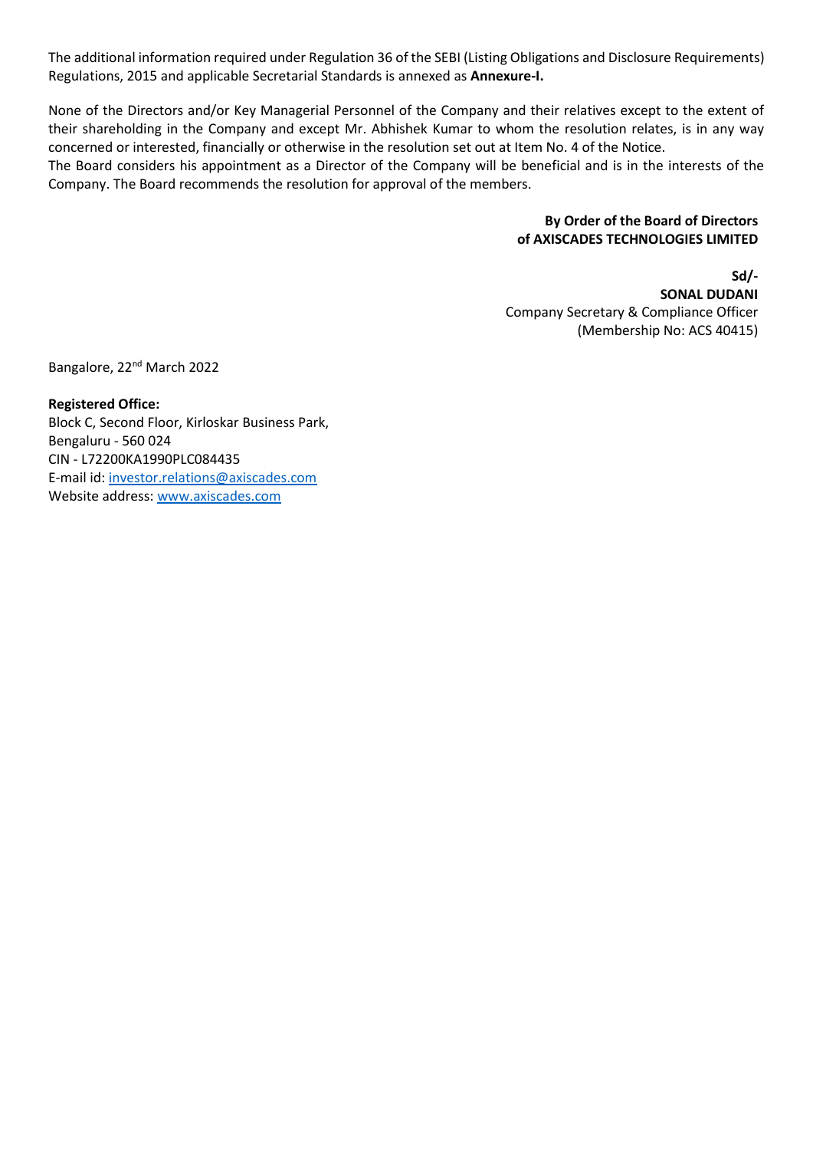The additional information required under Regulation 36 of the SEBI (Listing Obligations and Disclosure Requirements) Regulations, 2015 and applicable Secretarial Standards is annexed as **Annexure-I.**

None of the Directors and/or Key Managerial Personnel of the Company and their relatives except to the extent of their shareholding in the Company and except Mr. Abhishek Kumar to whom the resolution relates, is in any way concerned or interested, financially or otherwise in the resolution set out at Item No. 4 of the Notice.

The Board considers his appointment as a Director of the Company will be beneficial and is in the interests of the Company. The Board recommends the resolution for approval of the members.

## **By Order of the Board of Directors of AXISCADES TECHNOLOGIES LIMITED**

**Sd/- SONAL DUDANI** Company Secretary & Compliance Officer (Membership No: ACS 40415)

Bangalore, 22nd March 2022

**Registered Office:** Block C, Second Floor, Kirloskar Business Park, Bengaluru - 560 024 CIN - L72200KA1990PLC084435 E-mail id[: investor.relations@axiscades.com](mailto:investor.relations@axiscades.com) Website address: [www.axiscades.com](http://www.axiscades.com/)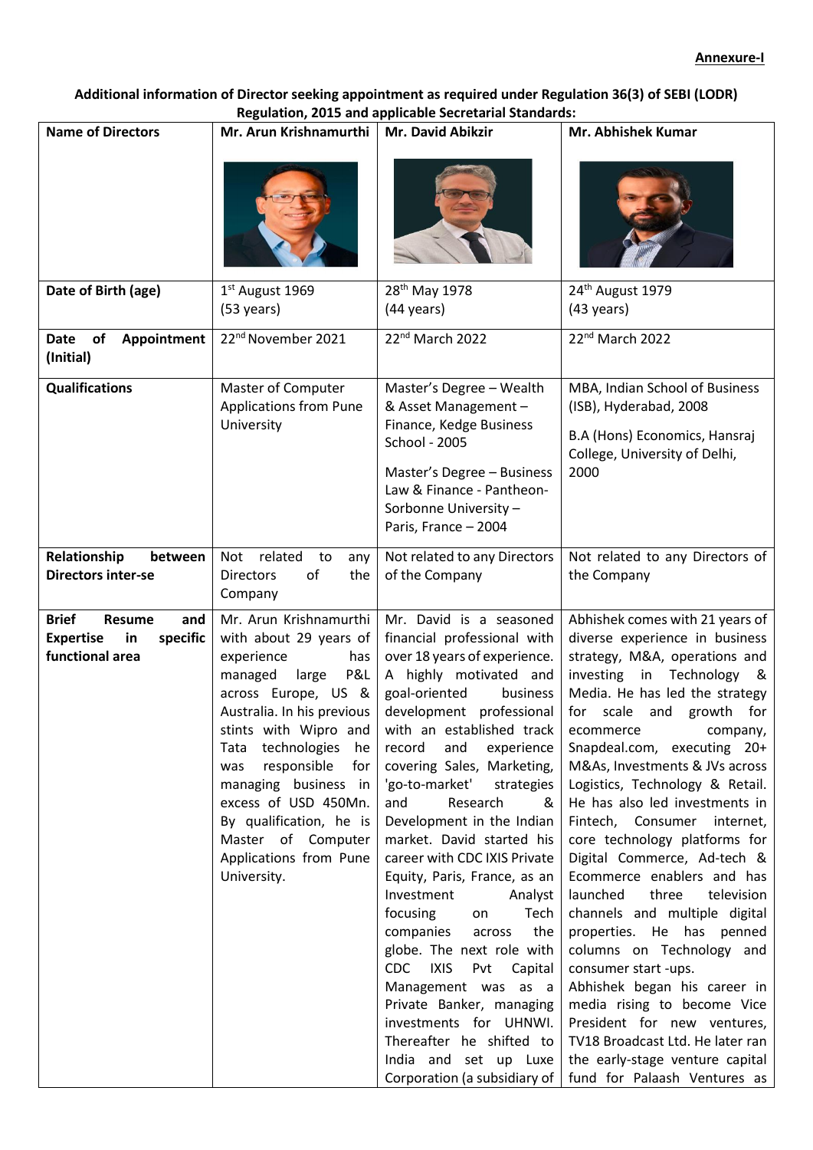# **Additional information of Director seeking appointment as required under Regulation 36(3) of SEBI (LODR) Regulation, 2015 and applicable Secretarial Standards:**

| <b>Name of Directors</b>                                                                      | Mr. Arun Krishnamurthi                                                                                                                                                                                                                                                                                                                                                        | Mr. David Abikzir                                                                                                                                                                                                                                                                                                                                                                                                                                                                                                                                                                                                                                                                                                                                                    | Mr. Abhishek Kumar                                                                                                                                                                                                                                                                                                                                                                                                                                                                                                                                                                                                                                                                                                                                                                                                                                      |
|-----------------------------------------------------------------------------------------------|-------------------------------------------------------------------------------------------------------------------------------------------------------------------------------------------------------------------------------------------------------------------------------------------------------------------------------------------------------------------------------|----------------------------------------------------------------------------------------------------------------------------------------------------------------------------------------------------------------------------------------------------------------------------------------------------------------------------------------------------------------------------------------------------------------------------------------------------------------------------------------------------------------------------------------------------------------------------------------------------------------------------------------------------------------------------------------------------------------------------------------------------------------------|---------------------------------------------------------------------------------------------------------------------------------------------------------------------------------------------------------------------------------------------------------------------------------------------------------------------------------------------------------------------------------------------------------------------------------------------------------------------------------------------------------------------------------------------------------------------------------------------------------------------------------------------------------------------------------------------------------------------------------------------------------------------------------------------------------------------------------------------------------|
|                                                                                               |                                                                                                                                                                                                                                                                                                                                                                               |                                                                                                                                                                                                                                                                                                                                                                                                                                                                                                                                                                                                                                                                                                                                                                      |                                                                                                                                                                                                                                                                                                                                                                                                                                                                                                                                                                                                                                                                                                                                                                                                                                                         |
| Date of Birth (age)                                                                           | 1st August 1969<br>$(53 \text{ years})$                                                                                                                                                                                                                                                                                                                                       | 28 <sup>th</sup> May 1978<br>$(44 \text{ years})$                                                                                                                                                                                                                                                                                                                                                                                                                                                                                                                                                                                                                                                                                                                    | 24 <sup>th</sup> August 1979<br>$(43 \text{ years})$                                                                                                                                                                                                                                                                                                                                                                                                                                                                                                                                                                                                                                                                                                                                                                                                    |
| <b>Date</b><br>of<br>Appointment<br>(Initial)                                                 | 22 <sup>nd</sup> November 2021                                                                                                                                                                                                                                                                                                                                                | 22nd March 2022                                                                                                                                                                                                                                                                                                                                                                                                                                                                                                                                                                                                                                                                                                                                                      | 22 <sup>nd</sup> March 2022                                                                                                                                                                                                                                                                                                                                                                                                                                                                                                                                                                                                                                                                                                                                                                                                                             |
| <b>Qualifications</b>                                                                         | Master of Computer<br><b>Applications from Pune</b><br>University                                                                                                                                                                                                                                                                                                             | Master's Degree - Wealth<br>& Asset Management -<br>Finance, Kedge Business<br>School - 2005<br>Master's Degree - Business<br>Law & Finance - Pantheon-<br>Sorbonne University -<br>Paris, France - 2004                                                                                                                                                                                                                                                                                                                                                                                                                                                                                                                                                             | MBA, Indian School of Business<br>(ISB), Hyderabad, 2008<br>B.A (Hons) Economics, Hansraj<br>College, University of Delhi,<br>2000                                                                                                                                                                                                                                                                                                                                                                                                                                                                                                                                                                                                                                                                                                                      |
| Relationship<br>between<br><b>Directors inter-se</b>                                          | related<br>Not<br>to<br>any<br><b>Directors</b><br>of<br>the<br>Company                                                                                                                                                                                                                                                                                                       | Not related to any Directors<br>of the Company                                                                                                                                                                                                                                                                                                                                                                                                                                                                                                                                                                                                                                                                                                                       | Not related to any Directors of<br>the Company                                                                                                                                                                                                                                                                                                                                                                                                                                                                                                                                                                                                                                                                                                                                                                                                          |
| <b>Brief</b><br><b>Resume</b><br>and<br><b>Expertise</b><br>specific<br>in<br>functional area | Mr. Arun Krishnamurthi<br>with about 29 years of<br>experience<br>has<br>P&L<br>managed<br>large<br>across Europe, US &<br>Australia. In his previous<br>stints with Wipro and<br>Tata technologies he<br>responsible<br>for<br>was<br>managing business in<br>excess of USD 450Mn.<br>By qualification, he is<br>Master of Computer<br>Applications from Pune<br>University. | Mr. David is a seasoned<br>financial professional with<br>over 18 years of experience.<br>A highly motivated and<br>goal-oriented<br>business<br>development professional<br>with an established track<br>record and<br>experience<br>covering Sales, Marketing,<br>'go-to-market' strategies<br>and<br>Research<br>&<br>Development in the Indian<br>market. David started his<br>career with CDC IXIS Private<br>Equity, Paris, France, as an<br>Investment<br>Analyst<br>focusing<br>Tech<br>on<br>companies<br>the<br>across<br>globe. The next role with<br>CDC<br><b>IXIS</b><br>Pvt Capital<br>Management was as a<br>Private Banker, managing<br>investments for UHNWI.<br>Thereafter he shifted to<br>India and set up Luxe<br>Corporation (a subsidiary of | Abhishek comes with 21 years of<br>diverse experience in business<br>strategy, M&A, operations and<br>investing in Technology &<br>Media. He has led the strategy<br>for scale<br>and growth for<br>ecommerce<br>company,<br>Snapdeal.com, executing 20+<br>M&As, Investments & JVs across<br>Logistics, Technology & Retail.<br>He has also led investments in<br>Fintech, Consumer internet,<br>core technology platforms for<br>Digital Commerce, Ad-tech &<br>Ecommerce enablers and has<br>launched<br>three<br>television<br>channels and multiple digital<br>properties. He has penned<br>columns on Technology and<br>consumer start -ups.<br>Abhishek began his career in<br>media rising to become Vice<br>President for new ventures,<br>TV18 Broadcast Ltd. He later ran<br>the early-stage venture capital<br>fund for Palaash Ventures as |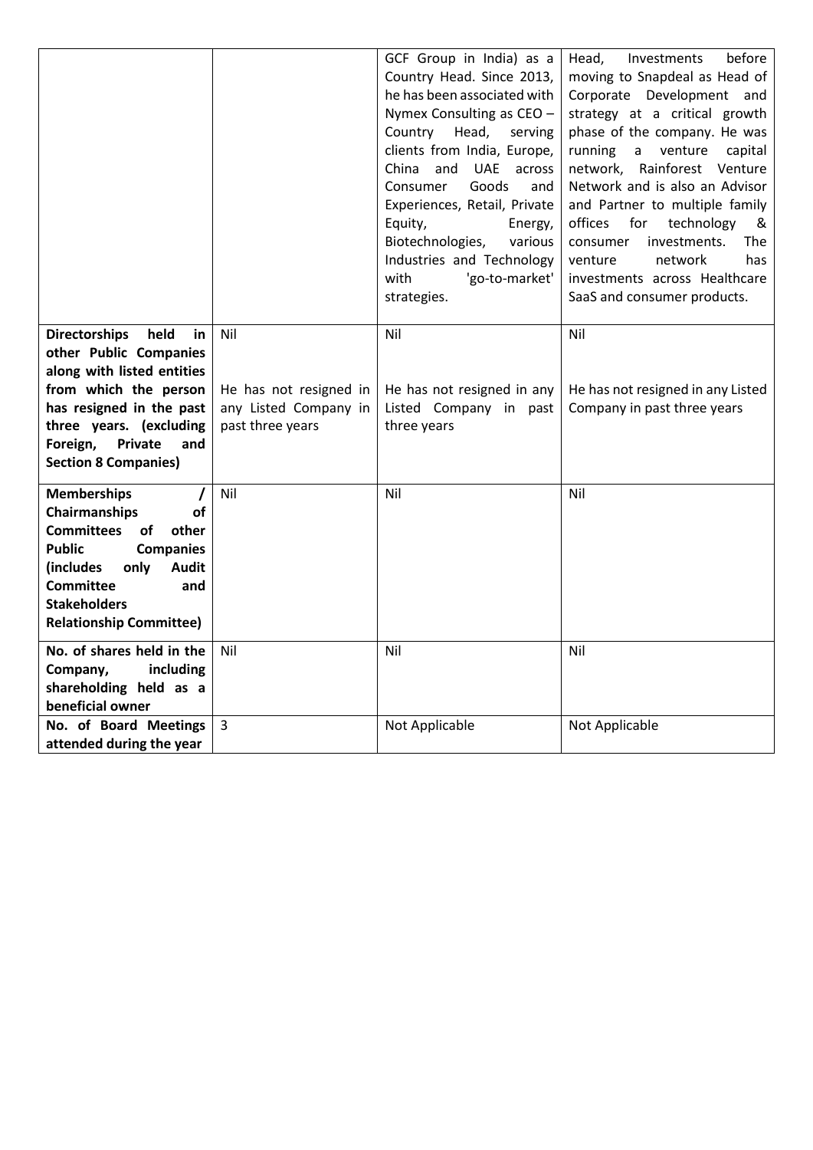|                                                                                                                                           |                                                                     | GCF Group in India) as a<br>Country Head. Since 2013,<br>he has been associated with<br>Nymex Consulting as CEO -<br>Country Head,<br>serving<br>clients from India, Europe,<br>UAE across<br>China and<br>Goods<br>Consumer<br>and<br>Experiences, Retail, Private<br>Equity,<br>Energy,<br>Biotechnologies,<br>various<br>Industries and Technology<br>with<br>'go-to-market'<br>strategies. | before<br>Head,<br><b>Investments</b><br>moving to Snapdeal as Head of<br>Corporate Development and<br>strategy at a critical growth<br>phase of the company. He was<br>running<br>a venture<br>capital<br>network, Rainforest Venture<br>Network and is also an Advisor<br>and Partner to multiple family<br>offices<br>for<br>technology<br>&<br>investments.<br>The<br>consumer<br>venture<br>network<br>has<br>investments across Healthcare<br>SaaS and consumer products. |
|-------------------------------------------------------------------------------------------------------------------------------------------|---------------------------------------------------------------------|------------------------------------------------------------------------------------------------------------------------------------------------------------------------------------------------------------------------------------------------------------------------------------------------------------------------------------------------------------------------------------------------|---------------------------------------------------------------------------------------------------------------------------------------------------------------------------------------------------------------------------------------------------------------------------------------------------------------------------------------------------------------------------------------------------------------------------------------------------------------------------------|
| <b>Directorships</b><br>held<br>in<br>other Public Companies                                                                              | Nil                                                                 | Nil                                                                                                                                                                                                                                                                                                                                                                                            | Nil                                                                                                                                                                                                                                                                                                                                                                                                                                                                             |
| along with listed entities                                                                                                                |                                                                     |                                                                                                                                                                                                                                                                                                                                                                                                |                                                                                                                                                                                                                                                                                                                                                                                                                                                                                 |
| from which the person<br>has resigned in the past<br>three years. (excluding<br>Private<br>Foreign,<br>and<br><b>Section 8 Companies)</b> | He has not resigned in<br>any Listed Company in<br>past three years | He has not resigned in any<br>Listed Company in past<br>three years                                                                                                                                                                                                                                                                                                                            | He has not resigned in any Listed<br>Company in past three years                                                                                                                                                                                                                                                                                                                                                                                                                |
| <b>Memberships</b>                                                                                                                        | Nil                                                                 | Nil                                                                                                                                                                                                                                                                                                                                                                                            | Nil                                                                                                                                                                                                                                                                                                                                                                                                                                                                             |
| <b>Chairmanships</b><br>of<br><b>Committees</b><br>of<br>other                                                                            |                                                                     |                                                                                                                                                                                                                                                                                                                                                                                                |                                                                                                                                                                                                                                                                                                                                                                                                                                                                                 |
| <b>Public</b><br><b>Companies</b><br><b>Audit</b><br>(includes<br>only                                                                    |                                                                     |                                                                                                                                                                                                                                                                                                                                                                                                |                                                                                                                                                                                                                                                                                                                                                                                                                                                                                 |
| <b>Committee</b><br>and                                                                                                                   |                                                                     |                                                                                                                                                                                                                                                                                                                                                                                                |                                                                                                                                                                                                                                                                                                                                                                                                                                                                                 |
| <b>Stakeholders</b><br><b>Relationship Committee)</b>                                                                                     |                                                                     |                                                                                                                                                                                                                                                                                                                                                                                                |                                                                                                                                                                                                                                                                                                                                                                                                                                                                                 |
| No. of shares held in the                                                                                                                 | Nil                                                                 | Nil                                                                                                                                                                                                                                                                                                                                                                                            | Nil                                                                                                                                                                                                                                                                                                                                                                                                                                                                             |
| Company,<br>including                                                                                                                     |                                                                     |                                                                                                                                                                                                                                                                                                                                                                                                |                                                                                                                                                                                                                                                                                                                                                                                                                                                                                 |
| shareholding held as a<br>beneficial owner                                                                                                |                                                                     |                                                                                                                                                                                                                                                                                                                                                                                                |                                                                                                                                                                                                                                                                                                                                                                                                                                                                                 |
| No. of Board Meetings<br>attended during the year                                                                                         | 3                                                                   | Not Applicable                                                                                                                                                                                                                                                                                                                                                                                 | Not Applicable                                                                                                                                                                                                                                                                                                                                                                                                                                                                  |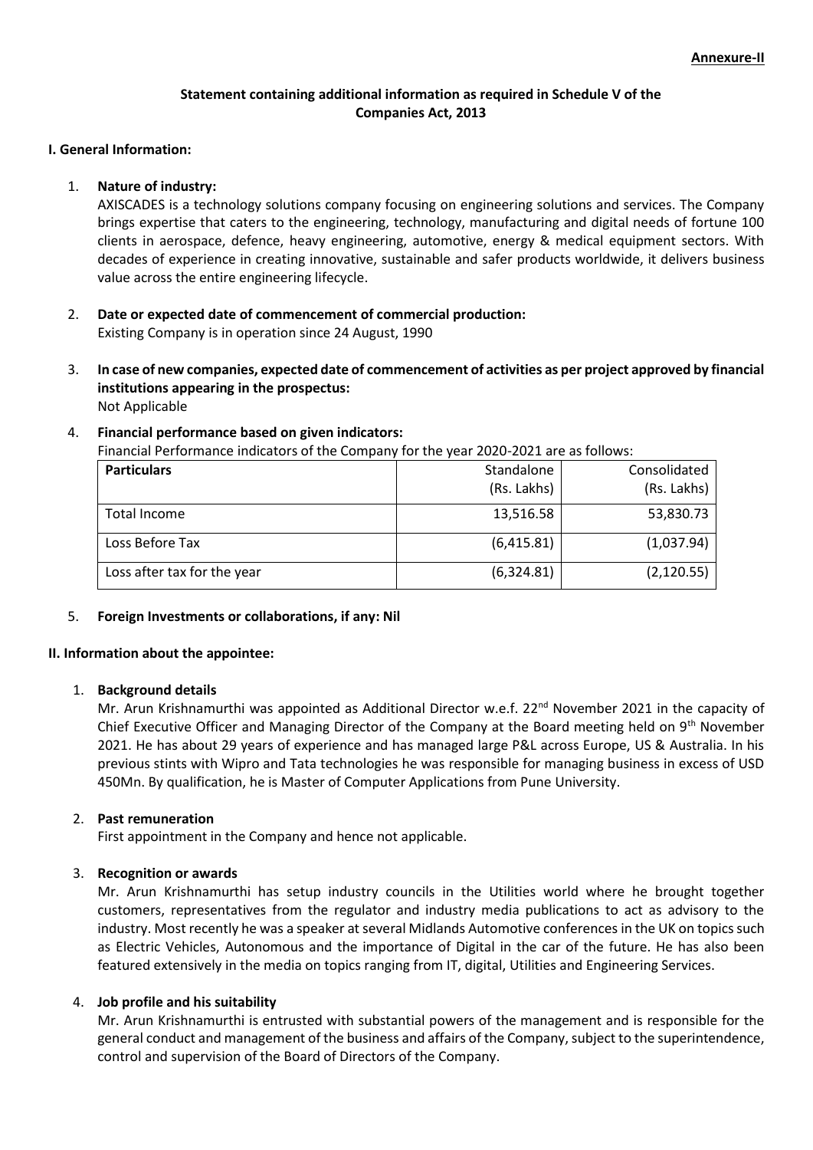# **Statement containing additional information as required in Schedule V of the Companies Act, 2013**

#### **I. General Information:**

### 1. **Nature of industry:**

AXISCADES is a technology solutions company focusing on engineering solutions and services. The Company brings expertise that caters to the engineering, technology, manufacturing and digital needs of fortune 100 clients in aerospace, defence, heavy engineering, automotive, energy & medical equipment sectors. With decades of experience in creating innovative, sustainable and safer products worldwide, it delivers business value across the entire engineering lifecycle.

- 2. **Date or expected date of commencement of commercial production:** Existing Company is in operation since 24 August, 1990
- 3. **In case of new companies, expected date of commencement of activities as per project approved by financial institutions appearing in the prospectus:** Not Applicable

### 4. **Financial performance based on given indicators:**

Financial Performance indicators of the Company for the year 2020-2021 are as follows:

| <b>Particulars</b>          | Standalone<br>(Rs. Lakhs) | Consolidated<br>(Rs. Lakhs) |
|-----------------------------|---------------------------|-----------------------------|
| Total Income                | 13,516.58                 | 53,830.73                   |
| Loss Before Tax             | (6,415.81)                | (1,037.94)                  |
| Loss after tax for the year | (6,324.81)                | (2, 120.55)                 |

### 5. **Foreign Investments or collaborations, if any: Nil**

### **II. Information about the appointee:**

### 1. **Background details**

Mr. Arun Krishnamurthi was appointed as Additional Director w.e.f. 22<sup>nd</sup> November 2021 in the capacity of Chief Executive Officer and Managing Director of the Company at the Board meeting held on 9<sup>th</sup> November 2021. He has about 29 years of experience and has managed large P&L across Europe, US & Australia. In his previous stints with Wipro and Tata technologies he was responsible for managing business in excess of USD 450Mn. By qualification, he is Master of Computer Applications from Pune University.

### 2. **Past remuneration**

First appointment in the Company and hence not applicable.

### 3. **Recognition or awards**

Mr. Arun Krishnamurthi has setup industry councils in the Utilities world where he brought together customers, representatives from the regulator and industry media publications to act as advisory to the industry. Most recently he was a speaker at several Midlands Automotive conferences in the UK on topics such as Electric Vehicles, Autonomous and the importance of Digital in the car of the future. He has also been featured extensively in the media on topics ranging from IT, digital, Utilities and Engineering Services.

### 4. **Job profile and his suitability**

Mr. Arun Krishnamurthi is entrusted with substantial powers of the management and is responsible for the general conduct and management of the business and affairs of the Company, subject to the superintendence, control and supervision of the Board of Directors of the Company.